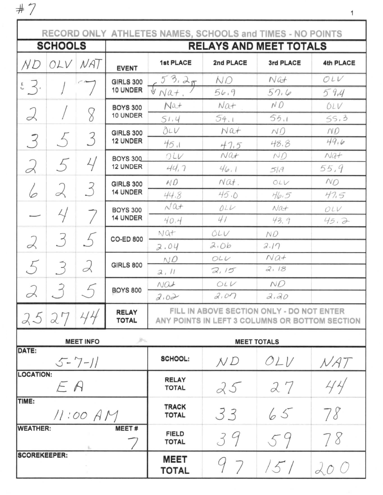$#7$ 

|                         |                  |                    |                                     | RECORD ONLY ATHLETES NAMES, SCHOOLS and TIMES - NO POINTS                                                                                                                                                                                                                                                                                                                                                                                                                                                                                                                                                                                                                                                                              |           |               |           |  |  |  |
|-------------------------|------------------|--------------------|-------------------------------------|----------------------------------------------------------------------------------------------------------------------------------------------------------------------------------------------------------------------------------------------------------------------------------------------------------------------------------------------------------------------------------------------------------------------------------------------------------------------------------------------------------------------------------------------------------------------------------------------------------------------------------------------------------------------------------------------------------------------------------------|-----------|---------------|-----------|--|--|--|
|                         | <b>SCHOOLS</b>   |                    |                                     | <b>RELAYS AND MEET TOTALS</b>                                                                                                                                                                                                                                                                                                                                                                                                                                                                                                                                                                                                                                                                                                          |           |               |           |  |  |  |
| N D                     | OLV              | NAT                | <b>EVENT</b>                        | <b>1st PLACE</b>                                                                                                                                                                                                                                                                                                                                                                                                                                                                                                                                                                                                                                                                                                                       | 2nd PLACE | 3rd PLACE     | 4th PLACE |  |  |  |
|                         |                  |                    | <b>GIRLS 300</b>                    | 53.25                                                                                                                                                                                                                                                                                                                                                                                                                                                                                                                                                                                                                                                                                                                                  | N.O       | $N$ <i>ût</i> | OLV       |  |  |  |
| $5 \leq$ .              |                  |                    | 10 UNDER                            |                                                                                                                                                                                                                                                                                                                                                                                                                                                                                                                                                                                                                                                                                                                                        | 54.9      | 57.6          | 59,4      |  |  |  |
|                         |                  |                    | <b>BOYS 300</b>                     | Nat                                                                                                                                                                                                                                                                                                                                                                                                                                                                                                                                                                                                                                                                                                                                    | Nat       | N O           | OLV       |  |  |  |
| 2                       |                  | 8                  | 10 UNDER                            | $\sqrt[n]{Nat}$ .<br>55.1<br>54.1<br>51.4<br>02V<br>Nat<br>NQ<br>45.1<br>48.8<br>47.5<br>NQf<br>ND<br>OLV<br>44,7<br>46.1<br>51,9<br>$N\alpha t$ .<br>ND<br>OLV<br>45.0<br>44.8<br>$H_{0.5}$<br>$\sqrt{a}$<br>011<br>Nat<br>41<br>40.4<br>43.9<br>$NQ +$<br>OLV<br>N.O<br>2.06<br>2.17<br>2.04<br>$Na+$<br>OLU<br>NQ<br><b>GIRLS 800</b><br>2.18<br>2,15<br>2, 11<br>ND<br>OLV<br>$NQ +$<br><b>BOYS 800</b><br>2.07<br>2.30<br>2.02<br>FILL IN ABOVE SECTION ONLY - DO NOT ENTER<br><b>RELAY</b><br><b>TOTAL</b><br>ANY POINTS IN LEFT 3 COLUMNS OR BOTTOM SECTION<br>m.<br><b>MEET TOTALS</b><br><b>SCHOOL:</b><br>OLV<br>N D<br><b>RELAY</b><br>27<br>25<br><b>TOTAL</b><br><b>TRACK</b><br>33<br>65<br><b>TOTAL</b><br><b>MEET#</b> | 55,3      |               |           |  |  |  |
|                         |                  |                    | <b>GIRLS 300</b><br><b>12 UNDER</b> |                                                                                                                                                                                                                                                                                                                                                                                                                                                                                                                                                                                                                                                                                                                                        |           |               | ND        |  |  |  |
| 3                       | 5                | 3                  |                                     |                                                                                                                                                                                                                                                                                                                                                                                                                                                                                                                                                                                                                                                                                                                                        |           |               | 49,6      |  |  |  |
|                         |                  |                    | BOYS 300                            |                                                                                                                                                                                                                                                                                                                                                                                                                                                                                                                                                                                                                                                                                                                                        |           |               | $Na+$     |  |  |  |
| $\alpha$                | 5                | 4                  | 12 UNDER                            |                                                                                                                                                                                                                                                                                                                                                                                                                                                                                                                                                                                                                                                                                                                                        |           |               | 55,9      |  |  |  |
|                         |                  |                    | <b>GIRLS 300</b>                    |                                                                                                                                                                                                                                                                                                                                                                                                                                                                                                                                                                                                                                                                                                                                        |           |               | NO        |  |  |  |
| 6                       | 2                | 3                  | 14 UNDER                            |                                                                                                                                                                                                                                                                                                                                                                                                                                                                                                                                                                                                                                                                                                                                        |           |               | 47.5      |  |  |  |
|                         |                  |                    | <b>BOYS 300</b>                     |                                                                                                                                                                                                                                                                                                                                                                                                                                                                                                                                                                                                                                                                                                                                        |           |               | OLV       |  |  |  |
|                         | 4                |                    | 14 UNDER                            |                                                                                                                                                                                                                                                                                                                                                                                                                                                                                                                                                                                                                                                                                                                                        |           |               | 45.7      |  |  |  |
|                         |                  |                    | <b>CO-ED 800</b>                    |                                                                                                                                                                                                                                                                                                                                                                                                                                                                                                                                                                                                                                                                                                                                        |           |               |           |  |  |  |
| 2                       | 3                |                    |                                     |                                                                                                                                                                                                                                                                                                                                                                                                                                                                                                                                                                                                                                                                                                                                        |           |               |           |  |  |  |
|                         |                  |                    |                                     |                                                                                                                                                                                                                                                                                                                                                                                                                                                                                                                                                                                                                                                                                                                                        |           |               |           |  |  |  |
| 5                       | 3                | 2                  |                                     |                                                                                                                                                                                                                                                                                                                                                                                                                                                                                                                                                                                                                                                                                                                                        |           |               |           |  |  |  |
|                         |                  |                    |                                     |                                                                                                                                                                                                                                                                                                                                                                                                                                                                                                                                                                                                                                                                                                                                        |           |               |           |  |  |  |
| $\prec$                 |                  |                    |                                     |                                                                                                                                                                                                                                                                                                                                                                                                                                                                                                                                                                                                                                                                                                                                        |           |               |           |  |  |  |
| 25                      | 27               | 44                 |                                     |                                                                                                                                                                                                                                                                                                                                                                                                                                                                                                                                                                                                                                                                                                                                        |           |               |           |  |  |  |
|                         | <b>MEET INFO</b> |                    |                                     |                                                                                                                                                                                                                                                                                                                                                                                                                                                                                                                                                                                                                                                                                                                                        |           |               |           |  |  |  |
| DATE:                   |                  | $5 - 7 - 11$       |                                     |                                                                                                                                                                                                                                                                                                                                                                                                                                                                                                                                                                                                                                                                                                                                        |           |               | NAT       |  |  |  |
| <b>LOCATION:</b><br>E A |                  |                    |                                     |                                                                                                                                                                                                                                                                                                                                                                                                                                                                                                                                                                                                                                                                                                                                        |           |               | 44        |  |  |  |
| TIME:                   |                  | 78<br>$11:00$ $AP$ |                                     |                                                                                                                                                                                                                                                                                                                                                                                                                                                                                                                                                                                                                                                                                                                                        |           |               |           |  |  |  |
| <b>WEATHER:</b>         |                  |                    |                                     | <b>FIELD</b><br><b>TOTAL</b>                                                                                                                                                                                                                                                                                                                                                                                                                                                                                                                                                                                                                                                                                                           | 39        | 59            | 78        |  |  |  |
| <b>SCOREKEEPER:</b>     |                  |                    |                                     | <b>MEET</b><br><b>TOTAL</b>                                                                                                                                                                                                                                                                                                                                                                                                                                                                                                                                                                                                                                                                                                            | 97        | 151           | 200       |  |  |  |

 $\mathbf 1$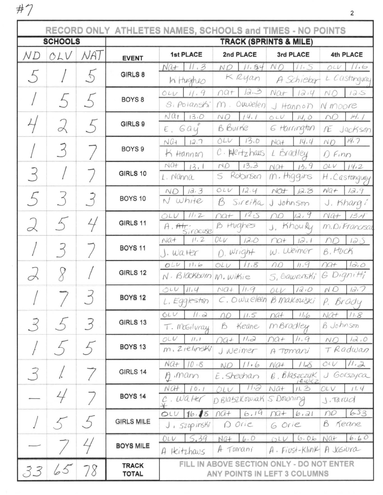$#7$ 

г

|                |                      |     |                                   | RECORD ONLY ATHLETES NAMES, SCHOOLS and TIMES - NO POINTS |                                           |                                 |                                         |  |  |  |
|----------------|----------------------|-----|-----------------------------------|-----------------------------------------------------------|-------------------------------------------|---------------------------------|-----------------------------------------|--|--|--|
| <b>SCHOOLS</b> |                      |     | <b>TRACK (SPRINTS &amp; MILE)</b> |                                                           |                                           |                                 |                                         |  |  |  |
| МD             | OLV                  | NA) | <b>EVENT</b>                      | <b>1st PLACE</b>                                          | 2nd PLACE                                 | 3rd PLACE                       | 4th PLACE                               |  |  |  |
| 5              |                      | 5   | GIRLS 8                           | 11.3<br>Nat<br>In Hughes                                  | 11.54<br>ND<br>K Ryan                     | N O<br>11.5<br>A Schicker       | 11.6<br>OUV<br>L Castongyay             |  |  |  |
|                | 5                    |     | BOYS <sub>8</sub>                 | 11.9<br>OLU                                               | 12.3<br>$\Omega$ at                       | NQt<br>1214                     | NO<br>125                               |  |  |  |
|                |                      |     |                                   | S. Polanshi                                               | Owvelen<br>m                              | J Hannon                        | N moore                                 |  |  |  |
|                | 2                    | 5   | GIRLS 9                           | $Naf$ $13.0$<br>E, Gay                                    | 14.1<br>NO.<br>B Burne                    | OLU<br>14,0<br>6 Harrington     | 14.1<br>ΩΩ<br>Æ<br>Jackson              |  |  |  |
|                | 3                    |     | BOYS <sub>9</sub>                 | NGI<br>12.7                                               | 13.0<br>OLV                               | 14,4<br>$NQ +$                  | 14.7<br>NO                              |  |  |  |
|                |                      |     |                                   | K Hannon                                                  | $C.$ $Hertzhaus$                          | L Bradley                       | $0$ Finn                                |  |  |  |
|                |                      |     | GIRLS 10                          | $NQ +$<br>13.1<br>L. Nanna                                | 13,3<br>ND<br>Robinson<br>S               | 13,9<br>$NQ+$<br>$m$ . Higgins  | OLV<br>14.2<br>H. Castonguay            |  |  |  |
|                |                      |     |                                   | 1a.3<br><b>ND</b>                                         | OLU<br>12.4                               | NCT<br>12.8                     | $NQ +$<br>12.9                          |  |  |  |
| 5              | $\mathcal{S}$        | 3   | BOYS 10                           | $N$ white                                                 | B<br>Sireika                              | J Johnson                       | J. Khangi                               |  |  |  |
|                | $\overline{\Lambda}$ | 4   | GIRLS 11                          | 11/2<br>OLV                                               | 12,5<br>$\bigcap \mathcal{C}$             | 12, 9<br>no                     | $N4+ 13.4$                              |  |  |  |
| $\alpha$       |                      |     |                                   | $A.$ Atr:<br>Siracuse                                     | B Hughes                                  | J. KhouRy                       | m.DiFrancisca                           |  |  |  |
|                |                      |     | <b>BOYS 11</b>                    | 11.2<br>$Na+$<br>$J.$ water                               | 12.0<br>OLV<br>D. Wright                  | 12.1<br>$\Omega$<br>W. Weimer   | 125<br>DQ<br>B. HUCK                    |  |  |  |
|                |                      |     |                                   | $OLU$ $11.6$                                              | 11.8<br>OLU                               | 11.9<br>$\Omega$                | 10,0<br>$\bigcap \mathcal{Q}$           |  |  |  |
| L              |                      |     | GIRLS 12                          | $N.$ $B$ lackburn                                         | M. Wikie                                  | S, Gawronski'                   | G Dignitti                              |  |  |  |
|                |                      |     | <b>BOYS 12</b>                    | $OUV$ $II.4$                                              | $NQ+$<br>11.9                             | 12.0<br>01V                     | 12.7<br>NO                              |  |  |  |
|                |                      |     |                                   | L. Eggleston                                              | $C.$ O wueleen                            | B Makouski                      | P. Brady                                |  |  |  |
| 3              |                      | 3   | GIRLS 13                          | OLU<br>11.2                                               | 11.5<br>nD                                | 116<br>$n$ $a$                  | $N2+$<br>11.8                           |  |  |  |
|                |                      |     |                                   | T. McGilvray                                              | B<br>Keane                                | mBradley                        | B Johnson                               |  |  |  |
|                |                      |     | BOYS <sub>13</sub>                | OLU<br>11,1<br>$m.$ Z <sub>i</sub> elinski                | 11,2<br>$\bigcap \mathcal{G}+$            | 11.9<br>$\bigcap \mathcal{A} +$ | 12.0<br>NC                              |  |  |  |
|                |                      |     |                                   |                                                           | J Weimer                                  | A Tomani                        | TRadwan                                 |  |  |  |
| 3              | l.                   | 7   | GIRLS 14                          | $NQ + 10.8$<br>$A$ , mann                                 | 11.6<br>NO<br>E. Sheehan                  | 11.8<br>$Na+$                   | 11.2<br>O <sub>2</sub><br>Gorszyca<br>J |  |  |  |
|                |                      |     |                                   | NCH<br>10.1                                               | $11 - 3$<br>OLU                           | $6.$ Blaszczyk<br>11.3<br>Naf   | OLV<br>11.4                             |  |  |  |
|                | 4                    |     | <b>BOYS 14</b>                    | $c$ . Walter                                              | D Blaszkowiak S Downing                   |                                 | J. Tarud                                |  |  |  |
|                |                      |     |                                   | 16.18<br>OUV                                              | 6.19<br>$\Lambda$ G+                      | $\Gamma$<br>6,21                | 6.53<br>no                              |  |  |  |
|                |                      |     | <b>GIRLS MILE</b>                 | $J_{1}$ szopinski                                         | D Orie                                    | 6 Orie                          | B<br>Keane                              |  |  |  |
|                |                      |     | <b>BOYS MILE</b>                  | 5,39<br>OLV                                               | 6.0<br>$NGI+$                             | 6.06<br>01U                     | 6.60<br>Naf                             |  |  |  |
|                |                      |     |                                   | A Heitzhaus                                               | A Tomani                                  | $A$ . Fiust-Klink               | A Jasiura                               |  |  |  |
|                | 65                   | 78  | <b>TRACK</b>                      |                                                           | FILL IN ABOVE SECTION ONLY - DO NOT ENTER |                                 |                                         |  |  |  |
| 33             |                      |     | <b>TOTAL</b>                      | ANY POINTS IN LEFT 3 COLUMNS                              |                                           |                                 |                                         |  |  |  |